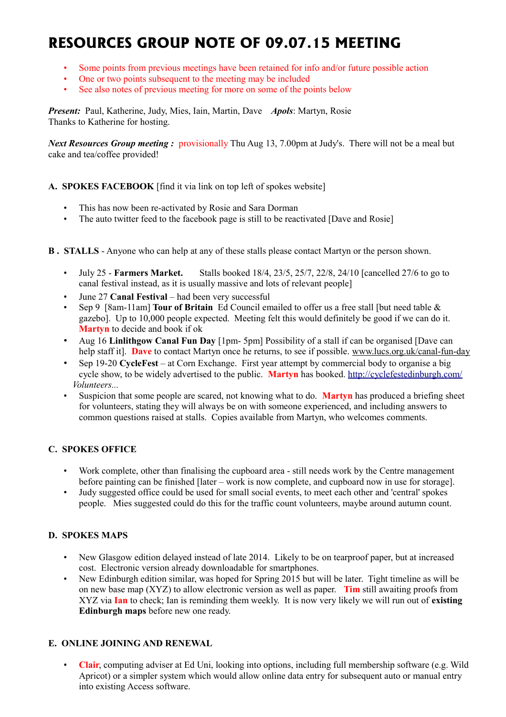# **RESOURCES GROUP NOTE OF 09.07.15 MEETING**

- Some points from previous meetings have been retained for info and/or future possible action
- One or two points subsequent to the meeting may be included
- See also notes of previous meeting for more on some of the points below

*Present:* Paul, Katherine, Judy, Mies, Iain, Martin, Dave *Apols*: Martyn, Rosie Thanks to Katherine for hosting.

*Next Resources Group meeting : provisionally Thu Aug 13, 7.00pm at Judy's. There will not be a meal but* cake and tea/coffee provided!

## **A. SPOKES FACEBOOK** [find it via link on top left of spokes website]

- This has now been re-activated by Rosie and Sara Dorman
- The auto twitter feed to the facebook page is still to be reactivated [Dave and Rosie]
- **B . STALLS** Anyone who can help at any of these stalls please contact Martyn or the person shown.
	- July 25 **Farmers Market.** Stalls booked 18/4, 23/5, 25/7, 22/8, 24/10 [cancelled 27/6 to go to canal festival instead, as it is usually massive and lots of relevant people]
	- June 27 **Canal Festival**  had been very successful
	- Sep 9 [8am-11am] **Tour of Britain** Ed Council emailed to offer us a free stall [but need table & gazebo]. Up to 10,000 people expected. Meeting felt this would definitely be good if we can do it. **Martyn** to decide and book if ok
	- Aug 16 **Linlithgow Canal Fun Day** [1pm- 5pm] Possibility of a stall if can be organised [Dave can help staff it]. **Dave** to contact Martyn once he returns, to see if possible, [www.lucs.org.uk/canal-fun-day](http://www.lucs.org.uk/canal-fun-day/)
	- Sep 19-20 **CycleFest** at Corn Exchange. First year attempt by commercial body to organise a big cycle show, to be widely advertised to the public. Martyn has booked.<http://cyclefestedinburgh.com/> *Volunteers...*
	- Suspicion that some people are scared, not knowing what to do. **Martyn** has produced a briefing sheet for volunteers, stating they will always be on with someone experienced, and including answers to common questions raised at stalls. Copies available from Martyn, who welcomes comments.

#### **C. SPOKES OFFICE**

- Work complete, other than finalising the cupboard area still needs work by the Centre management before painting can be finished [later – work is now complete, and cupboard now in use for storage].
- Judy suggested office could be used for small social events, to meet each other and 'central' spokes people. Mies suggested could do this for the traffic count volunteers, maybe around autumn count.

#### **D. SPOKES MAPS**

- New Glasgow edition delayed instead of late 2014. Likely to be on tearproof paper, but at increased cost. Electronic version already downloadable for smartphones.
- New Edinburgh edition similar, was hoped for Spring 2015 but will be later. Tight timeline as will be on new base map (XYZ) to allow electronic version as well as paper. **Tim** still awaiting proofs from XYZ via **Ian** to check; Ian is reminding them weekly. It is now very likely we will run out of **existing Edinburgh maps** before new one ready.

#### **E. ONLINE JOINING AND RENEWAL**

• **Clair**, computing adviser at Ed Uni, looking into options, including full membership software (e.g. Wild Apricot) or a simpler system which would allow online data entry for subsequent auto or manual entry into existing Access software.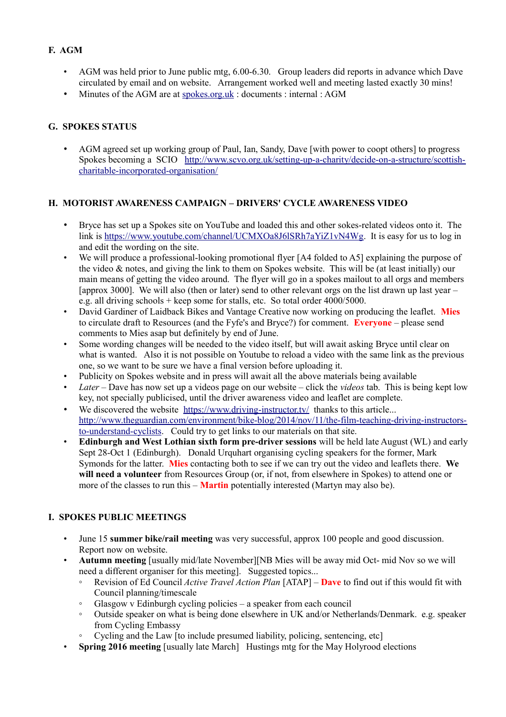# **F. AGM**

- AGM was held prior to June public mtg, 6.00-6.30. Group leaders did reports in advance which Dave circulated by email and on website. Arrangement worked well and meeting lasted exactly 30 mins!
- Minutes of the AGM are at [spokes.org.uk](http://spokes.org.uk/) : documents : internal : AGM

# **G. SPOKES STATUS**

• AGM agreed set up working group of Paul, Ian, Sandy, Dave [with power to coopt others] to progress Spokes becoming a SCIO [http://www.scvo.org.uk/setting-up-a-charity/decide-on-a-structure/scottish](http://www.scvo.org.uk/setting-up-a-charity/decide-on-a-structure/scottish-charitable-incorporated-organisation/)[charitable-incorporated-organisation/](http://www.scvo.org.uk/setting-up-a-charity/decide-on-a-structure/scottish-charitable-incorporated-organisation/)

## **H. MOTORIST AWARENESS CAMPAIGN – DRIVERS' CYCLE AWARENESS VIDEO**

- Bryce has set up a Spokes site on YouTube and loaded this and other sokes-related videos onto it. The link is [https://www.youtube.com/channel/UCMXOa8J6lSRh7aYiZ1vN4Wg.](https://www.youtube.com/channel/UCMXOa8J6lSRh7aYiZ1vN4Wg) It is easy for us to log in and edit the wording on the site.
- We will produce a professional-looking promotional flyer [A4 folded to A5] explaining the purpose of the video & notes, and giving the link to them on Spokes website. This will be (at least initially) our main means of getting the video around. The flyer will go in a spokes mailout to all orgs and members [approx 3000]. We will also (then or later) send to other relevant orgs on the list drawn up last year – e.g. all driving schools + keep some for stalls, etc. So total order 4000/5000.
- David Gardiner of Laidback Bikes and Vantage Creative now working on producing the leaflet. **Mies** to circulate draft to Resources (and the Fyfe's and Bryce?) for comment. **Everyone** – please send comments to Mies asap but definitely by end of June.
- Some wording changes will be needed to the video itself, but will await asking Bryce until clear on what is wanted. Also it is not possible on Youtube to reload a video with the same link as the previous one, so we want to be sure we have a final version before uploading it.
- Publicity on Spokes website and in press will await all the above materials being available
- *Later* Dave has now set up a videos page on our website click the *videos* tab. This is being kept low key, not specially publicised, until the driver awareness video and leaflet are complete.
- We discovered the website <https://www.driving-instructor.tv/>thanks to this article... [http://www.theguardian.com/environment/bike-blog/2014/nov/11/the-film-teaching-driving-instructors](http://www.theguardian.com/environment/bike-blog/2014/nov/11/the-film-teaching-driving-instructors-to-understand-cyclists)[to-understand-cyclists.](http://www.theguardian.com/environment/bike-blog/2014/nov/11/the-film-teaching-driving-instructors-to-understand-cyclists) Could try to get links to our materials on that site.
- **Edinburgh and West Lothian sixth form pre-driver sessions** will be held late August (WL) and early Sept 28-Oct 1 (Edinburgh). Donald Urquhart organising cycling speakers for the former, Mark Symonds for the latter. **Mies** contacting both to see if we can try out the video and leaflets there. **We will need a volunteer** from Resources Group (or, if not, from elsewhere in Spokes) to attend one or more of the classes to run this – **Martin** potentially interested (Martyn may also be).

# **I. SPOKES PUBLIC MEETINGS**

- June 15 **summer bike/rail meeting** was very successful, approx 100 people and good discussion. Report now on website.
- **Autumn meeting** [usually mid/late November][NB Mies will be away mid Oct- mid Nov so we will need a different organiser for this meeting]. Suggested topics...
	- Revision of Ed Council *Active Travel Action Plan* [ATAP] **Dave** to find out if this would fit with Council planning/timescale
	- Glasgow v Edinburgh cycling policies a speaker from each council
	- Outside speaker on what is being done elsewhere in UK and/or Netherlands/Denmark. e.g. speaker from Cycling Embassy
	- Cycling and the Law [to include presumed liability, policing, sentencing, etc]
- **Spring 2016 meeting** [usually late March] Hustings mtg for the May Holyrood elections